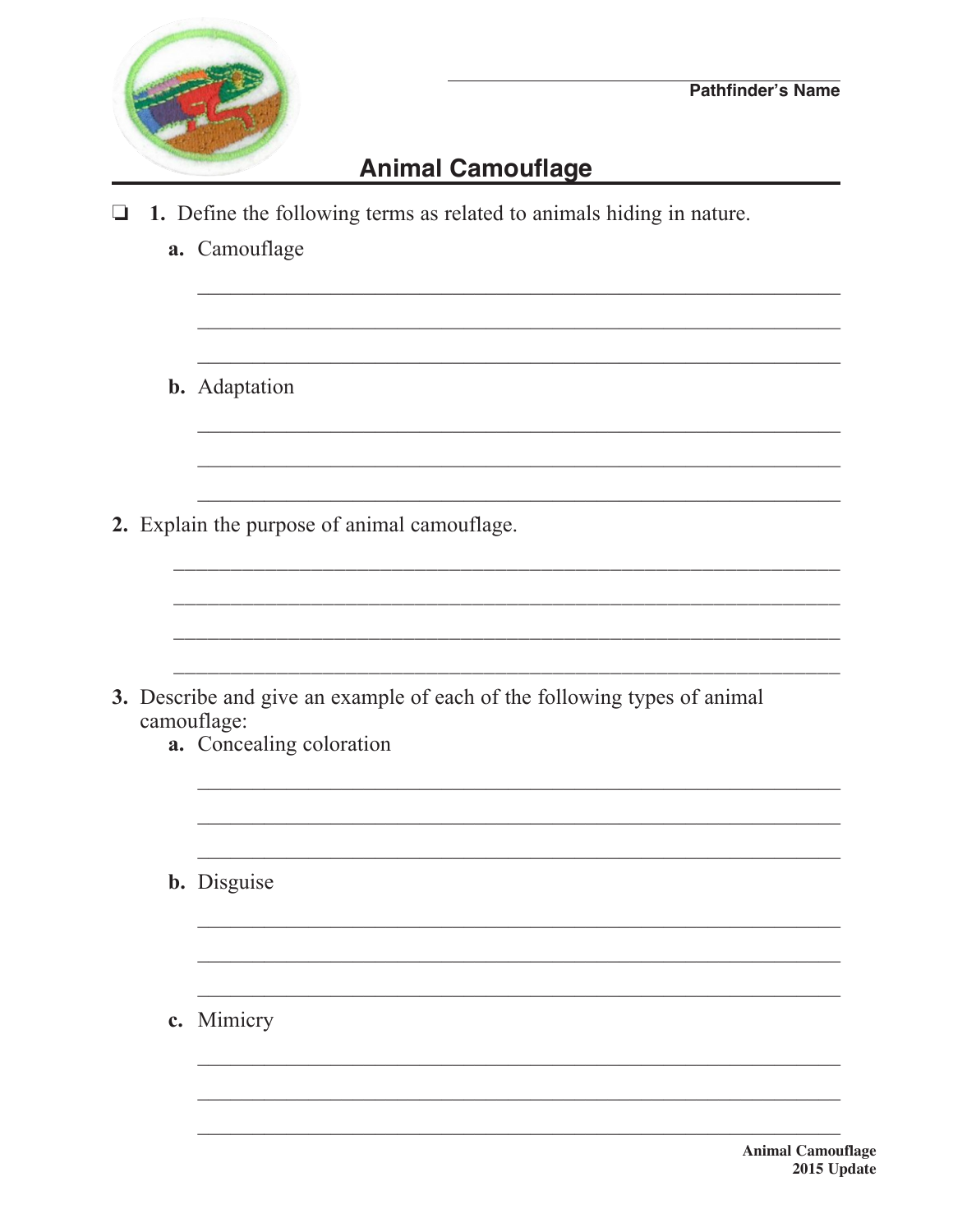

2015 Update

## **Animal Camouflage**

- 1. Define the following terms as related to animals hiding in nature.  $\Box$ 
	- a. Camouflage
	- **b.** Adaptation
- 2. Explain the purpose of animal camouflage.

3. Describe and give an example of each of the following types of animal camouflage: a. Concealing coloration **b.** Disguise c. Mimicry **Animal Camouflage**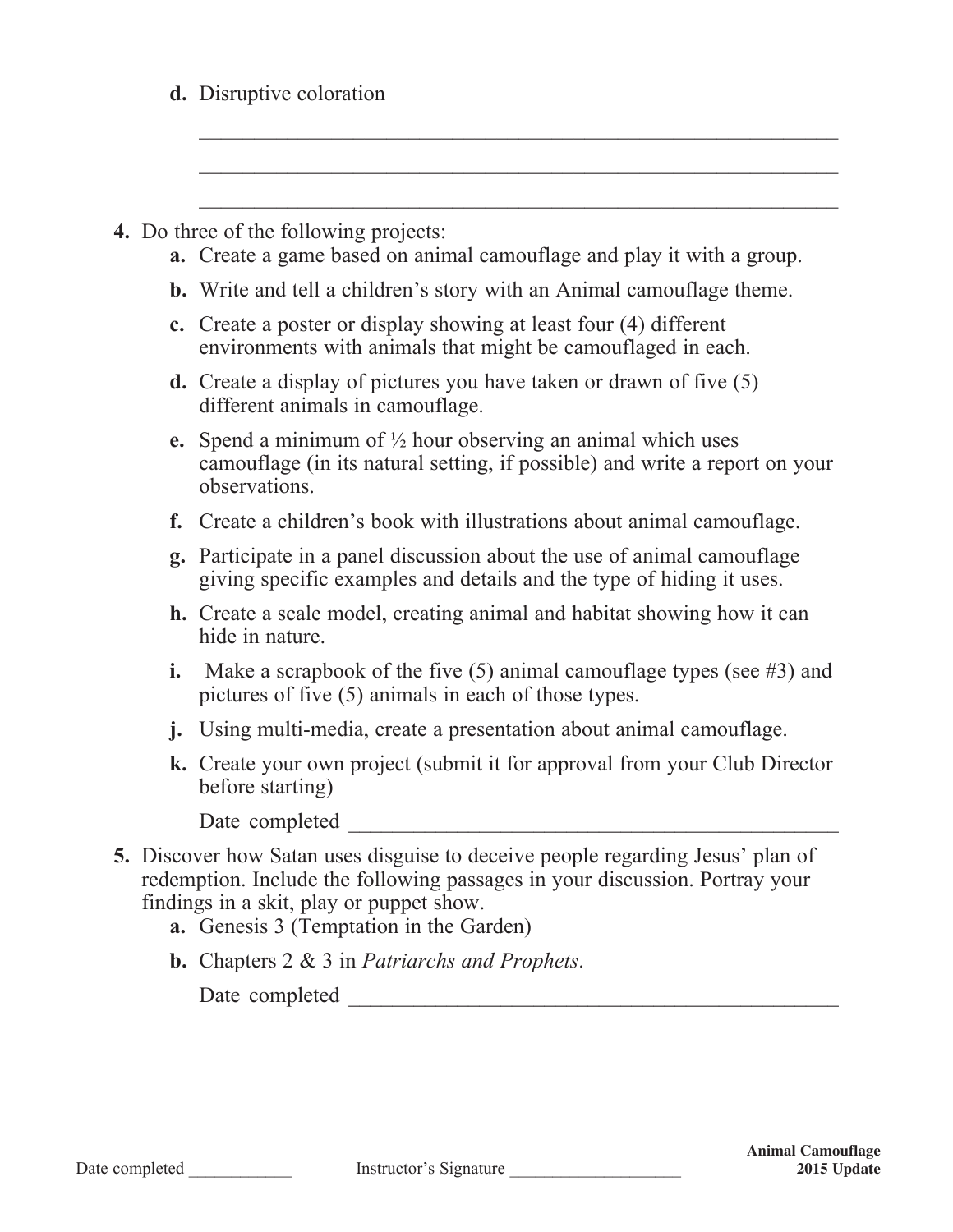| d. Disruptive coloration |
|--------------------------|
|--------------------------|

|  |  |  |  |  |  | 4. Do three of the following projects: |
|--|--|--|--|--|--|----------------------------------------|
|--|--|--|--|--|--|----------------------------------------|

**a.** Create a game based on animal camouflage and play it with a group.

 $\mathcal{L}_\text{max}$  , and the contribution of the contribution of the contribution of the contribution of the contribution of the contribution of the contribution of the contribution of the contribution of the contribution of t

 $\mathcal{L}_\text{max}$  , and the contribution of the contribution of the contribution of the contribution of the contribution of the contribution of the contribution of the contribution of the contribution of the contribution of t

 $\mathcal{L}_\text{max}$  , and the contribution of the contribution of the contribution of the contribution of the contribution of the contribution of the contribution of the contribution of the contribution of the contribution of t

- **b.** Write and tell a children's story with an Animal camouflage theme.
- **c.** Create a poster or display showing at least four (4) different environments with animals that might be camouflaged in each.
- **d.** Create a display of pictures you have taken or drawn of five (5) different animals in camouflage.
- **e.** Spend a minimum of ½ hour observing an animal which uses camouflage (in its natural setting, if possible) and write a report on your observations.
- **f.** Create a children's book with illustrations about animal camouflage.
- **g.** Participate in a panel discussion about the use of animal camouflage giving specific examples and details and the type of hiding it uses.
- **h.** Create a scale model, creating animal and habitat showing how it can hide in nature.
- **i.** Make a scrapbook of the five (5) animal camouflage types (see #3) and pictures of five (5) animals in each of those types.
- **j.** Using multi-media, create a presentation about animal camouflage.
- **k.** Create your own project (submit it for approval from your Club Director before starting)

Date completed **Example 2** 

- **5.** Discover how Satan uses disguise to deceive people regarding Jesus' plan of redemption. Include the following passages in your discussion. Portray your findings in a skit, play or puppet show.
	- **a.** Genesis 3 (Temptation in the Garden)
	- **b.** Chapters 2 & 3 in *Patriarchs and Prophets*.

Date completed  $\blacksquare$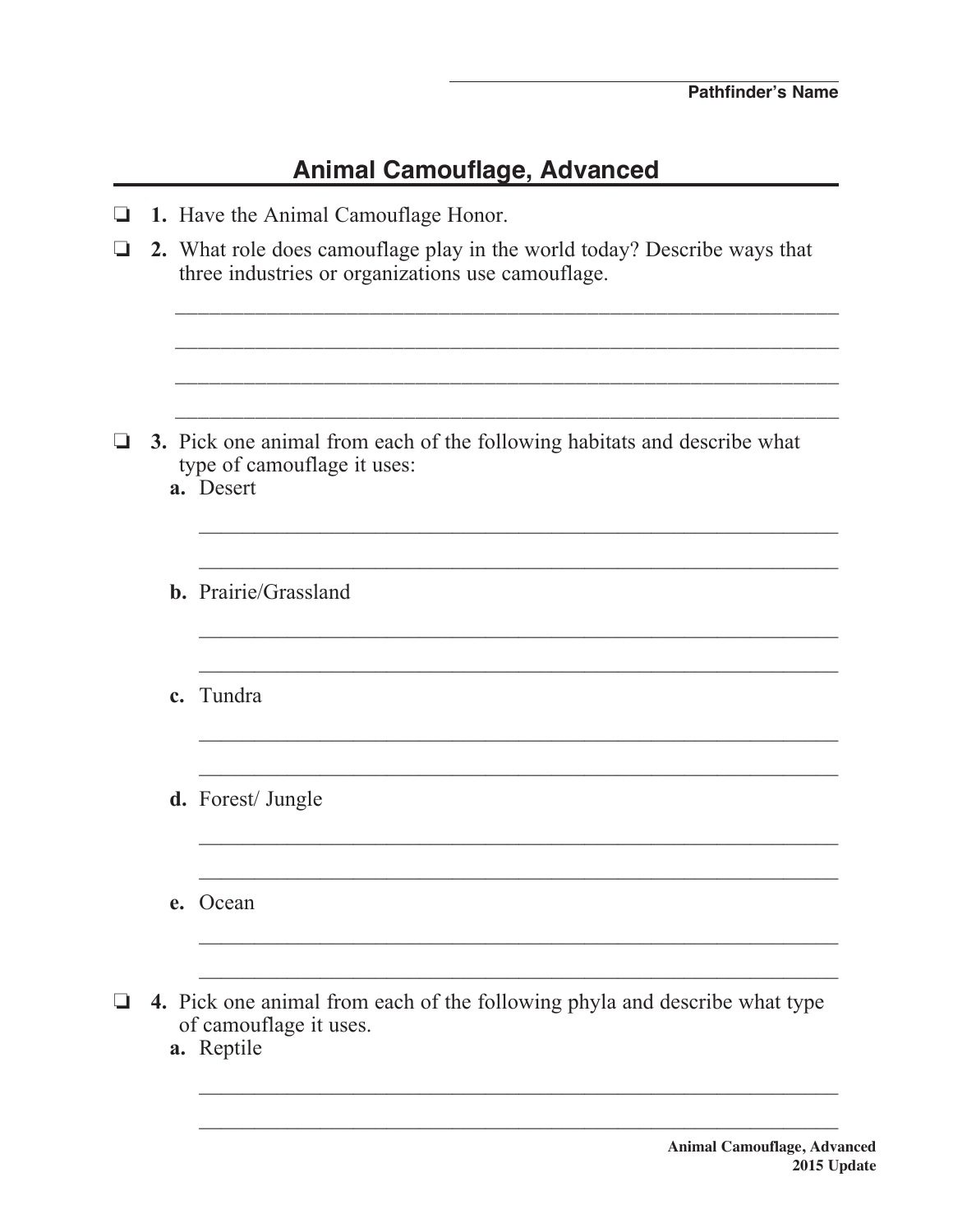## **Animal Camouflage, Advanced**

|   | 1. Have the Animal Camouflage Honor.                                                                                          |
|---|-------------------------------------------------------------------------------------------------------------------------------|
| ப | 2. What role does camouflage play in the world today? Describe ways that<br>three industries or organizations use camouflage. |
|   |                                                                                                                               |
|   | 3. Pick one animal from each of the following habitats and describe what<br>type of camouflage it uses:<br>a. Desert          |
|   | <b>b.</b> Prairie/Grassland                                                                                                   |
|   | c. Tundra                                                                                                                     |
|   | <b>d.</b> Forest/Jungle                                                                                                       |
|   | Ocean                                                                                                                         |
|   | 4. Pick one animal from each of the following phyla and describe what type<br>of camouflage it uses.<br>a. Reptile            |

 $\frac{1}{2}$  ,  $\frac{1}{2}$  ,  $\frac{1}{2}$  ,  $\frac{1}{2}$  ,  $\frac{1}{2}$  ,  $\frac{1}{2}$  ,  $\frac{1}{2}$  ,  $\frac{1}{2}$  ,  $\frac{1}{2}$  ,  $\frac{1}{2}$  ,  $\frac{1}{2}$  ,  $\frac{1}{2}$  ,  $\frac{1}{2}$  ,  $\frac{1}{2}$  ,  $\frac{1}{2}$  ,  $\frac{1}{2}$  ,  $\frac{1}{2}$  ,  $\frac{1}{2}$  ,  $\frac{1$ 

 $\mathcal{L}_\text{max}$  , and the contribution of the contribution of the contribution of the contribution of the contribution of the contribution of the contribution of the contribution of the contribution of the contribution of t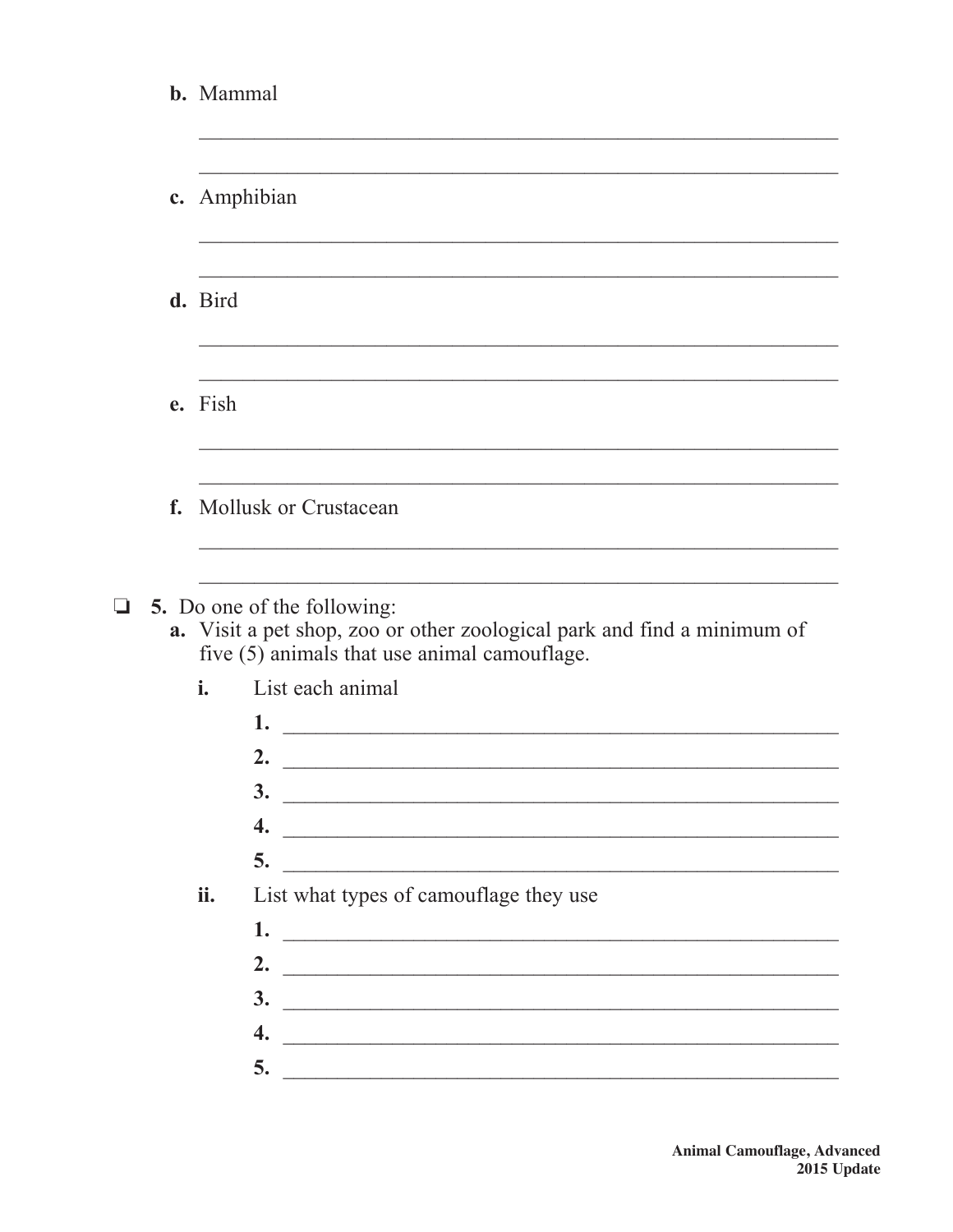|                          | b. Mammal                                                                                                                                                                                                                                                                                                                          |  |  |  |  |  |
|--------------------------|------------------------------------------------------------------------------------------------------------------------------------------------------------------------------------------------------------------------------------------------------------------------------------------------------------------------------------|--|--|--|--|--|
|                          | c. Amphibian                                                                                                                                                                                                                                                                                                                       |  |  |  |  |  |
|                          | d. Bird                                                                                                                                                                                                                                                                                                                            |  |  |  |  |  |
|                          | e. Fish                                                                                                                                                                                                                                                                                                                            |  |  |  |  |  |
| f. Mollusk or Crustacean |                                                                                                                                                                                                                                                                                                                                    |  |  |  |  |  |
| $\Box$                   | <b>5.</b> Do one of the following:<br>a. Visit a pet shop, zoo or other zoological park and find a minimum of<br>five (5) animals that use animal camouflage.<br>$\mathbf{i}$ .<br>List each animal<br>1.<br><u> Alexandria de la contrada de la contrada de la contrada de la contrada de la contrada de la contrada de la c</u>  |  |  |  |  |  |
|                          | 2.<br><u> 1980 - Johann John Stone, markin film yn y breninn y breninn y breninn y breninn y breninn y breninn y brenin</u><br>$\frac{3}{2}$<br>4.<br>5.<br><u> 1989 - Johann Barbara, martin amerikan basal dan berasal dalam basal dalam basal dalam basal dalam basal dala</u><br>List what types of camouflage they use<br>ii. |  |  |  |  |  |
|                          | 2. $\overline{\phantom{a}}$<br>$\frac{3}{2}$<br>$\boldsymbol{4}$ .<br>5.                                                                                                                                                                                                                                                           |  |  |  |  |  |

**Animal Camouflage, Advanced** 2015 Update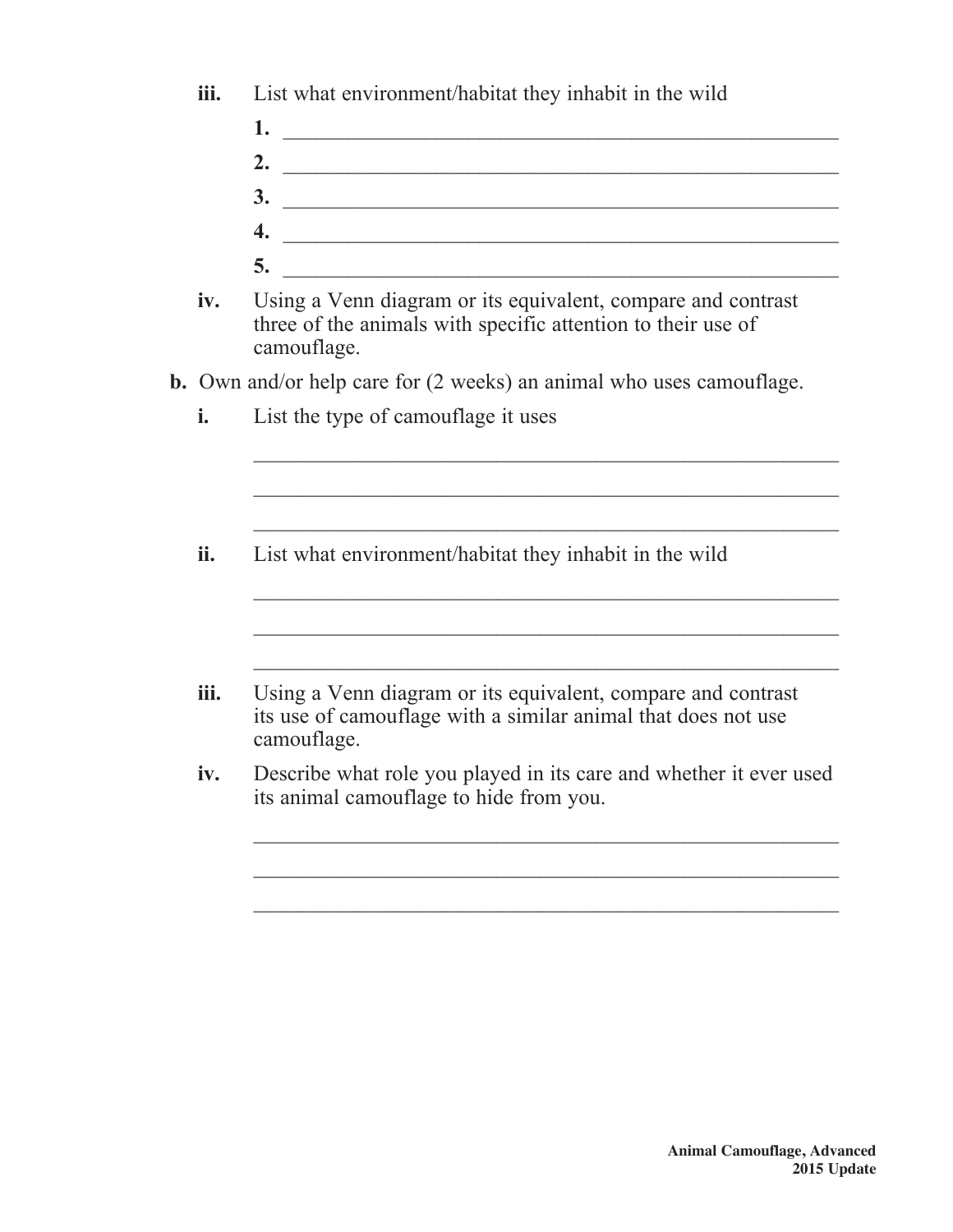**iii.** List what environment/habitat they inhabit in the wild

- **1.** \_\_\_\_\_\_\_\_\_\_\_\_\_\_\_\_\_\_\_\_\_\_\_\_\_\_\_\_\_\_\_\_\_\_\_\_\_\_\_\_\_\_\_\_\_\_\_\_\_\_\_  **2.** \_\_\_\_\_\_\_\_\_\_\_\_\_\_\_\_\_\_\_\_\_\_\_\_\_\_\_\_\_\_\_\_\_\_\_\_\_\_\_\_\_\_\_\_\_\_\_\_\_\_\_  **3.** \_\_\_\_\_\_\_\_\_\_\_\_\_\_\_\_\_\_\_\_\_\_\_\_\_\_\_\_\_\_\_\_\_\_\_\_\_\_\_\_\_\_\_\_\_\_\_\_\_\_\_  **4.** \_\_\_\_\_\_\_\_\_\_\_\_\_\_\_\_\_\_\_\_\_\_\_\_\_\_\_\_\_\_\_\_\_\_\_\_\_\_\_\_\_\_\_\_\_\_\_\_\_\_\_  **5.** \_\_\_\_\_\_\_\_\_\_\_\_\_\_\_\_\_\_\_\_\_\_\_\_\_\_\_\_\_\_\_\_\_\_\_\_\_\_\_\_\_\_\_\_\_\_\_\_\_\_\_
- **iv.** Using a Venn diagram or its equivalent, compare and contrast three of the animals with specific attention to their use of camouflage.
- **b.** Own and/or help care for (2 weeks) an animal who uses camouflage.

 $\mathcal{L}_\text{max} = \frac{1}{2} \sum_{i=1}^{n} \frac{1}{2} \sum_{i=1}^{n} \frac{1}{2} \sum_{i=1}^{n} \frac{1}{2} \sum_{i=1}^{n} \frac{1}{2} \sum_{i=1}^{n} \frac{1}{2} \sum_{i=1}^{n} \frac{1}{2} \sum_{i=1}^{n} \frac{1}{2} \sum_{i=1}^{n} \frac{1}{2} \sum_{i=1}^{n} \frac{1}{2} \sum_{i=1}^{n} \frac{1}{2} \sum_{i=1}^{n} \frac{1}{2} \sum_{i=1}^{n} \frac{1$ 

 $\mathcal{L}_\text{max} = \frac{1}{2} \sum_{i=1}^n \frac{1}{2} \sum_{i=1}^n \frac{1}{2} \sum_{i=1}^n \frac{1}{2} \sum_{i=1}^n \frac{1}{2} \sum_{i=1}^n \frac{1}{2} \sum_{i=1}^n \frac{1}{2} \sum_{i=1}^n \frac{1}{2} \sum_{i=1}^n \frac{1}{2} \sum_{i=1}^n \frac{1}{2} \sum_{i=1}^n \frac{1}{2} \sum_{i=1}^n \frac{1}{2} \sum_{i=1}^n \frac{1}{2} \sum_{i=1}^n$ 

 $\mathcal{L}_\mathcal{L}$  , and the contribution of the contribution of the contribution of the contribution of the contribution of the contribution of the contribution of the contribution of the contribution of the contribution of

\_\_\_\_\_\_\_\_\_\_\_\_\_\_\_\_\_\_\_\_\_\_\_\_\_\_\_\_\_\_\_\_\_\_\_\_\_\_\_\_\_\_\_\_\_\_\_\_\_\_\_\_\_

- **i.** List the type of camouflage it uses
- **ii.** List what environment/habitat they inhabit in the wild
- **iii.** Using a Venn diagram or its equivalent, compare and contrast its use of camouflage with a similar animal that does not use camouflage.

 $\mathcal{L}_\text{max} = \frac{1}{2} \sum_{i=1}^n \frac{1}{2} \sum_{i=1}^n \frac{1}{2} \sum_{i=1}^n \frac{1}{2} \sum_{i=1}^n \frac{1}{2} \sum_{i=1}^n \frac{1}{2} \sum_{i=1}^n \frac{1}{2} \sum_{i=1}^n \frac{1}{2} \sum_{i=1}^n \frac{1}{2} \sum_{i=1}^n \frac{1}{2} \sum_{i=1}^n \frac{1}{2} \sum_{i=1}^n \frac{1}{2} \sum_{i=1}^n \frac{1}{2} \sum_{i=1}^n$ 

**iv.** Describe what role you played in its care and whether it ever used its animal camouflage to hide from you.

 $\mathcal{L}_\text{max} = \frac{1}{2} \sum_{i=1}^n \frac{1}{2} \sum_{i=1}^n \frac{1}{2} \sum_{i=1}^n \frac{1}{2} \sum_{i=1}^n \frac{1}{2} \sum_{i=1}^n \frac{1}{2} \sum_{i=1}^n \frac{1}{2} \sum_{i=1}^n \frac{1}{2} \sum_{i=1}^n \frac{1}{2} \sum_{i=1}^n \frac{1}{2} \sum_{i=1}^n \frac{1}{2} \sum_{i=1}^n \frac{1}{2} \sum_{i=1}^n \frac{1}{2} \sum_{i=1}^n$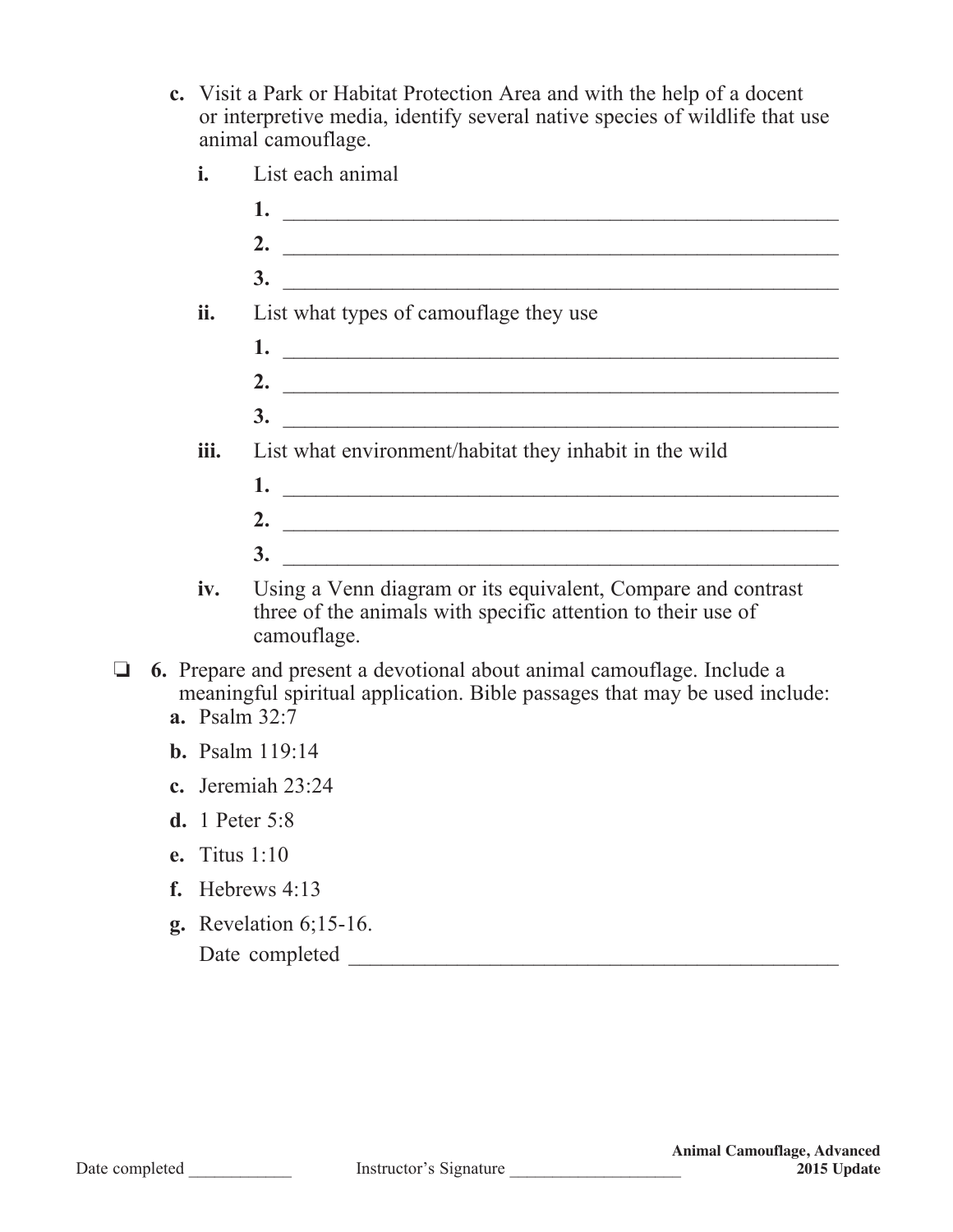- **c.** Visit a Park or Habitat Protection Area and with the help of a docent or interpretive media, identify several native species of wildlife that use animal camouflage.
	- **i.** List each animal  **1.** \_\_\_\_\_\_\_\_\_\_\_\_\_\_\_\_\_\_\_\_\_\_\_\_\_\_\_\_\_\_\_\_\_\_\_\_\_\_\_\_\_\_\_\_\_\_\_\_\_\_\_  **2.** \_\_\_\_\_\_\_\_\_\_\_\_\_\_\_\_\_\_\_\_\_\_\_\_\_\_\_\_\_\_\_\_\_\_\_\_\_\_\_\_\_\_\_\_\_\_\_\_\_\_\_  **3.** \_\_\_\_\_\_\_\_\_\_\_\_\_\_\_\_\_\_\_\_\_\_\_\_\_\_\_\_\_\_\_\_\_\_\_\_\_\_\_\_\_\_\_\_\_\_\_\_\_\_\_ **ii.** List what types of camouflage they use  **1.** \_\_\_\_\_\_\_\_\_\_\_\_\_\_\_\_\_\_\_\_\_\_\_\_\_\_\_\_\_\_\_\_\_\_\_\_\_\_\_\_\_\_\_\_\_\_\_\_\_\_\_  **2.** \_\_\_\_\_\_\_\_\_\_\_\_\_\_\_\_\_\_\_\_\_\_\_\_\_\_\_\_\_\_\_\_\_\_\_\_\_\_\_\_\_\_\_\_\_\_\_\_\_\_\_  **3.** \_\_\_\_\_\_\_\_\_\_\_\_\_\_\_\_\_\_\_\_\_\_\_\_\_\_\_\_\_\_\_\_\_\_\_\_\_\_\_\_\_\_\_\_\_\_\_\_\_\_\_ **iii.** List what environment/habitat they inhabit in the wild  **1.** \_\_\_\_\_\_\_\_\_\_\_\_\_\_\_\_\_\_\_\_\_\_\_\_\_\_\_\_\_\_\_\_\_\_\_\_\_\_\_\_\_\_\_\_\_\_\_\_\_\_\_  **2.** \_\_\_\_\_\_\_\_\_\_\_\_\_\_\_\_\_\_\_\_\_\_\_\_\_\_\_\_\_\_\_\_\_\_\_\_\_\_\_\_\_\_\_\_\_\_\_\_\_\_\_  **3.** \_\_\_\_\_\_\_\_\_\_\_\_\_\_\_\_\_\_\_\_\_\_\_\_\_\_\_\_\_\_\_\_\_\_\_\_\_\_\_\_\_\_\_\_\_\_\_\_\_\_\_
	- **iv.** Using a Venn diagram or its equivalent, Compare and contrast three of the animals with specific attention to their use of camouflage.
- o **6.** Prepare and present a devotional about animal camouflage. Include a meaningful spiritual application. Bible passages that may be used include:  **a.** Psalm 32:7
	-
	- **b.** Psalm 119:14
	- **c.** Jeremiah 23:24
	- **d.** 1 Peter 5:8
	- **e.** Titus 1:10
	- **f.** Hebrews 4:13
	- **g.** Revelation 6;15-16.

Date completed \_\_\_\_\_\_\_\_\_\_\_\_\_\_\_\_\_\_\_\_\_\_\_\_\_\_\_\_\_\_\_\_\_\_\_\_\_\_\_\_\_\_\_\_\_